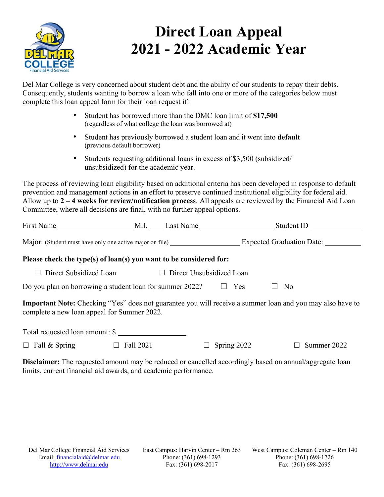

# **Direct Loan Appeal 2021 - 2022 Academic Year**

Del Mar College is very concerned about student debt and the ability of our students to repay their debts. Consequently, students wanting to borrow a loan who fall into one or more of the categories below must complete this loan appeal form for their loan request if:

- Student has borrowed more than the DMC loan limit of **\$17,500**  (regardless of what college the loan was borrowed at)
- Student has previously borrowed a student loan and it went into **default** (previous default borrower)
- Students requesting additional loans in excess of \$3,500 (subsidized/ unsubsidized) for the academic year.

The process of reviewing loan eligibility based on additional criteria has been developed in response to default prevention and management actions in an effort to preserve continued institutional eligibility for federal aid. Allow up to **2 – 4 weeks for review/notification process**. All appeals are reviewed by the Financial Aid Loan Committee, where all decisions are final, with no further appeal options.

|                                                                    |                                                                        | Major: (Student must have only one active major on file) Expected Graduation Date:                               |  |  |
|--------------------------------------------------------------------|------------------------------------------------------------------------|------------------------------------------------------------------------------------------------------------------|--|--|
| Please check the type(s) of loan(s) you want to be considered for: |                                                                        |                                                                                                                  |  |  |
| $\Box$                                                             | Direct Subsidized Loan $\Box$ Direct Unsubsidized Loan                 |                                                                                                                  |  |  |
|                                                                    | Do you plan on borrowing a student loan for summer 2022? $\square$ Yes | No<br>ப                                                                                                          |  |  |
| complete a new loan appeal for Summer 2022.                        |                                                                        | <b>Important Note:</b> Checking "Yes" does not guarantee you will receive a summer loan and you may also have to |  |  |
| Total requested loan amount: \$                                    |                                                                        |                                                                                                                  |  |  |
| $\Box$ Fall & Spring $\Box$ Fall 2021                              | Spring 2022<br>$\Box$                                                  | $\Box$ Summer 2022                                                                                               |  |  |
|                                                                    |                                                                        | Disalaimam Tha naquastad amaynt may be nadyaed an equalled accordinaly begad an equiple acrogate lean            |  |  |

**Disclaimer:** The requested amount may be reduced or cancelled accordingly based on annual/aggregate loan limits, current financial aid awards, and academic performance.

East Campus: Harvin Center – Rm 263 Phone: (361) 698-1293 Fax: (361) 698-2017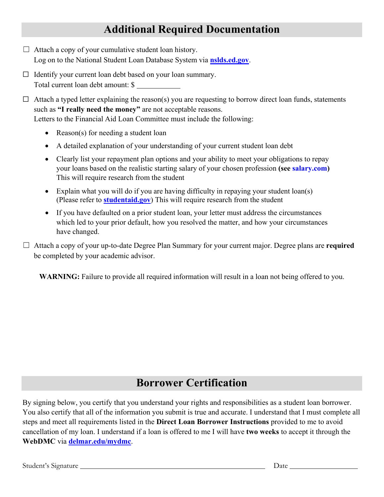### **Additional Required Documentation**

- $\Box$  Attach a copy of your cumulative student loan history. Log on to the National Student Loan Database System via **[nslds.ed.gov](http://www.nslds.ed.gov/)**[.](http://www.nslds.ed.gov/)
- $\Box$  Identify your current loan debt based on your loan summary. Total current loan debt amount: \$
- $\Box$  Attach a typed letter explaining the reason(s) you are requesting to borrow direct loan funds, statements such as **"I really need the money"** are not acceptable reasons. Letters to the Financial Aid Loan Committee must include the following:
	- Reason(s) for needing a student loan
	- A detailed explanation of your understanding of your current student loan debt
	- Clearly list your repayment plan options and your ability to meet your obligations to repay your loans based on the realistic starting salary of your chosen profession **(see [salary.com\)](http://www.salary.com/)** This will require research from the student
	- Explain what you will do if you are having difficulty in repaying your student loan(s) (Please refer to **studentaid.gov**) This will require research from the student
	- If you have defaulted on a prior student loan, your letter must address the circumstances which led to your prior default, how you resolved the matter, and how your circumstances have changed.

☐ Attach a copy of your up-to-date Degree Plan Summary for your current major. Degree plans are **required** be completed by your academic advisor.

**WARNING:** Failure to provide all required information will result in a loan not being offered to you.

### **Borrower Certification**

By signing below, you certify that you understand your rights and responsibilities as a student loan borrower. You also certify that all of the information you submit is true and accurate. I understand that I must complete all steps and meet all requirements listed in the **Direct Loan Borrower Instructions** provided to me to avoid cancellation of my loan. I understand if a loan is offered to me I will have **two weeks** to accept it through the **WebDMC** via **[delmar.edu/mydmc](http://www.delmar.edu/mydmc)**.

Student's Signature Date